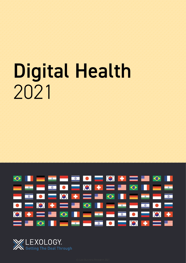# Digital Health 2021



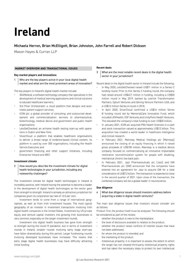## **Ireland**

#### Michaela Herron, Brian McElligott, Brian Johnston, John Farrell and Robert Dickson

Mason Hayes & Curran LLP

#### **MARKET OVERVIEW AND TRANSACTIONAL ISSUES**

#### **Key market players and innovations**

1  $\mid$  Who are the key players active in your local digital health market and what are the most prominent areas of innovation?

The key players in Ireland's digital health market include:

- 3D4Medical: a software technology company that specialises in the development of medical learning applications and clinical solutions to educate healthcare learners;
- 3rd Pillar Orchestrator: a cloud platform that designs and automates patient support services;
- ICON plc: a global provider of consulting, and outsourced development and commercialisation services to pharmaceutical, biotechnology, medical device and government and public health organisations;
- LetsGetChecked: an at-home health testing start-up with operations in Dublin and New York;
- SilverCloud: a platform that enables healthcare organisations to deliver a broad range of evidence-based clinical content. Its platform is used by over 300 organisations, including the Health Service Executive; and
- government financing and other support initiatives, including Enterprise Ireland and IBEC.

#### **Investment climate**

 $2$  How would you describe the investment climate for digital health technologies in your jurisdiction, including any noteworthy challenges?

The investment climate for digital health technologies in Ireland is incredibly positive, with Ireland having the potential to become a leader in the development of digital health technologies as the sector goes from strength to strength. Ireland is already an attractive jurisdiction for companies given its corporation tax rate of 12.5 per cent.

Investment tends to come from a range of international geographies, as well as from Irish investment houses. The most typical geography of an investor in investment transactions involving Irish digital health companies is the United States. Investment by US private equity and venture capital investors into growing Irish businesses is very common, especially on the larger investment rounds.

Investment into digital health business has gone from strength to strength during the covid-19 pandemic, but in terms of investment rounds in Ireland, smaller rounds involving early stage start-ups have fallen dramatically during this period. Larger fundraising rounds involving developed businesses have increased. This means that early stage digital health businesses may have difficulty attracting initial funding.

#### **Recent deals**

- 3 What are the most notable recent deals in the digital health sector in your jurisdiction?
- Recent deals in the digital health sector in Ireland include the following. • In May 2020, LetsGetChecked raised US\$71 million in a Series C funding round. Prior to this Series C funding round, the company had raised around US\$43.7 million in funding, including a US\$30 million round in May 2019, backed by Leerink Transformation Partners, Optum Ventures and Qiming Venture Partners USA, and a US\$12 million Series A round in 2018.
- In April 2020, SilverCloud confirmed a US\$16 million Series B funding round led by MemorialCare Innovation Fund, which included LRVHealth, OSF Ventures and UnityPoint Health Ventures. This elevated the company's total funding to over US\$30 million.
- In January 2021, ICON plc acquired PRA Health Sciences in a cash and stock transaction valued at approximately US\$12 billion. This acquisition has created a world leader in healthcare intelligence and clinical research.
- In February 2021, Mainstay Medical Holdings plc (Mainstay) announced the closing of an equity financing in which it raised gross proceeds of US\$108 million. Mainstay is a medical device company focused on commercialising an innovative implantable restorative neurostimulation system for people with disabling, mechanical chronic low back pain.
- In February 2021, Jazz Pharmaceuticals plc (Jazz) and GW Pharmaceuticals plc (GW) announced that the companies have entered into an agreement for Jazz to acquire GW for a total consideration of US\$7.2 billion. The transaction is expected to close in the second quarter of 2021. Upon close of the transaction, the combined company will be a global leader in neuroscience.

#### **Due diligence**

4 What due diligence issues should investors address before acquiring a stake in digital health ventures?

The main due diligence issues that investors should consider are as follows.

Product: first, the product itself must be analysed. The following should be considered as part of the review:

- whether the product is new to the marketplace;
- the level of disclosure available in relation to the product;
- whether the product raises conflicts of interest issues that have not been addressed;
- for whom the product is intended; and
- the marketing of the product.
- Intellectual property: it is important to assess the extent to which the target has not violated third-party intellectual property rights and has taken the necessary steps to protect its own intellectual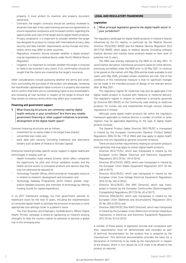property. It must protect its invention and properly document ownership.

- Contracts: the target's contracts should be carefully reviewed to ascertain how well it has used licensing and service agreements to ensure legislative compliance and increased comfort regarding the opportunities and risks of the target and its digital health products.
- Privacy compliance: it is important to consider whether the target has designed its product to comply with international privacy, data security and data transfer requirements across Europe and elsewhere, which may differ to other countries.
- Regulatory: investors should consider whether a digital product may be regulated as a medical device under the EU Medical Device Regulation.
- Litigation: it is important to consider whether the target is involved or likely to be involved in any claims. If so, confirmation should be sought that the claims are covered by the target's insurance.

Other considerations include assessing whether the terms and conditions surrounding the purchase of the product are adequate; reviewing the shareholder capitalisation table to ensure it is properly documented and to confirm that there are no outstanding rights to any shareholders; and reviewing all loan facilities in respect of the target to ensure that they contain no onerous terms which may affect your investment.

#### **Financing and government support**

5 What financing structures are commonly used by digital health ventures in your jurisdiction? Are there any notable government financing or other support initiatives to promote development of the digital health space?

Common financing structures are as follows:

- investment for an equity stake in the target (new shares);
- convertible loan notes; and
- bank debt with security (including traditional and alternative lenders such as Bank of Ireland or Activate Capital).

Enterprise Ireland provides specific sector support in digital healthcare technologies in Ireland, such as:

- Health Innovation Hubs Ireland Scheme, which offers companies the opportunity for pilot and clinical validation studies and the health service access to innovative products and devices that they may not otherwise be exposed to;
- Technology Transfer Offices, which provide an invaluable resource in relation to research, development and innovation; and
- Technology Gateway Programme, which fosters greater cooperation between business and institutes of technology by offering funding rounds for capital expenditure.

In its 2017 Sláintecare strategy, the Irish government outlined its healthcare vision for the next 10 years, including the implementation of connected digital health to facilitate the provision of services in more appropriate care settings closer to a patient's home.

The Irish Business and Employers Confederation's 'Where Digital Health Thrives' campaign is aimed at capitalising on Ireland's existing strengths to help the country realise its potential to become a global hub in this emerging area.

#### **LEGAL AND REGULATORY FRAMEWORK**

#### **Legislation**

6 What principal legislation governs the digital health sector in your jurisdiction?

The regulatory landscape for digital health products in Ireland is heavily influenced by the EU regime, in particular by the Medical Devices Directive 93/42/EEC (MDD) and the Medical Devices Regulation (EU) 2017/745 (MDR), which apply to medical devices (including software medical devices) and classify those products based on their level of potential risk to users.

The MDD was entirely replaced by the MDR on 26 May 2021. To avoid market disruption, transitional provisions allow for some devices, previously accredited under the MDD prior to 26 May 2021, to continue to be placed on the market until May 2024 and be made available to end users until May 2025, provided certain conditions are met. One of the conditions of this transitional measure is that no significant changes can be made to the intended purpose or design of the relevant device after 26 May 2021.

The regulatory regime for medicines may also be applicable if the digital health product is involved with medicine or medicine delivery. The regulatory regime in relation to medicines is primarily governed by Directive 2001/83/EC on the Community code relating to medicinal products for human use and implemented through various national regulations in Ireland.

Although some digital health products fall within the regulatory framework applicable to medical devices, a number of further or other regimes may be applicable depending on the type of digital health product involved.

The General Product Safety Directive 2001/95/EC is transposed in Ireland by the European Communities (General Product Safety) Regulations 2004 (SI No. 199 of 2004) and may apply to digital health products that are regulated as general consumer products.

There are also further requirements relating to consumer products more generally that may apply to certain digital health products:

- Directive 2012/19/EU, which was transposed in Ireland by the European Union (Waste Electrical and Electronic Equipment) Regulations 2014 (SI No. 149 of 2014);
- Directive 2014/53/EU (RED), which was transposed in Ireland by the European Union (Radio Equipment) Regulations 2017 (SI No. 248 of 2017);
- Directive 2014/35/EU, which was transposed in Ireland by the European Union (Low Voltage Electrical Equipment) Regulations 2016 (SI No. 345 of 2016);
- Directive 2014/30/EU (the EMC Directive), which was transposed in Ireland by the European Communities (Electromagnetic Compatibility) Regulations 2017 (SI No. 69 of 2017);
- Directive 2006/66/EC, which was transposed in Ireland by the European Union (Batteries and Accumulators) Regulations 2014 (SI No. 283 of 2014); and
- Directive 2002/95/EC (the RoHS Directive), which was transposed in Ireland by the European Union (Restriction of Certain Hazardous Substances in Electrical and Electronic Equipment) Regulations 2012 (SI No. 513 of 2012).

A number of those pieces of legislation provide that compliance with their requirements must be demonstrated and recorded as part of technical documentation for the product that is prepared by the manufacturer. This technical documentation provides the basis for a Declaration of Conformity to be made by the manufacturer in respect of the product, which in turn allows for a CE mark to be affixed to the product as required.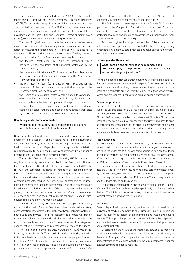The Consumer Protection Act 2007 (the 2007 Act), which implements the EU Directive on Unfair Commercial Practices (Directive 2005/29/EC), may also be applicable to digital health products that are intended for consumer use. The 2007 Act regulates advertising and commercial practices in Ireland. It established a national body, now known as the Competition and Consumer Protection Commission (CCPC), which is responsible for enforcing the 2007 Act.

The use of digital health products by healthcare professionals may also require consideration of legislation providing for the regulation of healthcare professionals in Ireland as well as associated guidance published by the professional regulators. The key pieces of legislation providing for the functions of those regulators are:

- the Medical Practitioners Act 2007 (as amended), which provides for the regulation of the medical profession by the Medical Council;
- the Nurses and Midwives Act 2011 (as amended), which provides for the regulation of nurses and midwives by the Nursing and Midwifery Board of Ireland;
- the Pharmacy Act 2007 (as amended), which provides for the regulation of pharmacists and pharmaceutical assistants by the Pharmaceutical Society of Ireland; and
- the Health and Social Care Professionals Act 2005 (as amended), which provides for the regulation of dietitians, dispensing opticians, medical scientists, occupational therapists, optometrists, physical therapists, physiotherapists, radiographers, radiation therapists, social workers and speech and language therapists by the Health and Social Care Professionals Council.

#### **Regulatory and enforcement bodies**

7 Which notable regulatory and enforcement bodies have jurisdiction over the digital health sector?

Because of the lack of dedicated legislation and regulatory schemes specific to digital health, IT and e-healthcare in Ireland, a number of different regimes may be applicable, depending on the type of digital health product involved. Depending on the applicable legislation, regulation of digital health products may be overseen by a number of organisations, including those discussed below.

The Health Products Regulatory Authority (HPRA) derives its regulatory authority from the Irish Medicines Board Act 1995 and the Irish Medicines Board (Miscellaneous Provisions) Act 2006. The HPRA is the competent authority in Ireland with responsibility for monitoring and enforcing compliance with regulatory requirements for human and veterinary medicines, human blood, tissues and cells, cosmetic products, medical devices, active pharmaceutical ingredients, and controlled drugs and substances. It has been conferred with broad powers, including the rights of demanding information, investigation, inspection and prosecution, as well as refusal and revocation of licences and ordering the recall of medicinal products and medical devices (including software medical devices).

The independent body eHealth Ireland was set up in 2013 initially as part of the Health Service Executive. It has developed a strategy demonstrating how citizens, the Irish healthcare delivery systems – both public and private – and the economy as a whole will benefit from eHealth. it works closely with all the key business organisations within the health service to drive forward its e-health strategy and ensure that key IT systems are implemented on time and to budget.

The Health and Information Quality Authority (HIQA) was established by the Health Act 2007. It is an independent authority that exists to improve health and social care services for the people of Ireland. In October 2019, HIQA published a guide to its review programme of eHealth services in Ireland. It has also established a new review programme to monitor compliance with National Standards for Safer

The CCPC is an Irish state agency set up in October 2014 on amalgamation of the Competition Authority and the National Consumer Agency. It has a broad mandate for enforcing competition and consumer protection law in Ireland, including enforcement of product safety regulations and the assessment of mergers.

Additionally, given that a significant number of digital health products contain, store, process or use health data, the DPC will generally investigate any potential data breaches and take appropriate enforcement action where necessary.

#### **Licensing and authorisation**

8 What licensing and authorisation requirements and procedures apply to the provision of digital health products and services in your jurisdiction?

There is no specific Irish legislation governing licensing and authorisation requirements and procedures in respect of the provision of digital health products and services; however, depending on the nature of the product, digital health products may be subject to authorisation requirements and procedures under various product-specific frameworks.

#### Consumer products

Digital health products that are classified as consumer products may be subject to various pieces of EU product safety legislation (eg, the RoHS Directive, the EMC Directive and RED) and may need to be affixed with a CE mark before being placed on the Irish market. To affix a CE mark to a product, under certain legislation, the manufacturer is required to draw up technical documentation for the product demonstrating compliance with the various requirements provided for in the relevant legislation, along with a declaration of conformity in respect of the product.

#### Medical devices

If a digital health product is a medical device, the manufacturer will be required to demonstrate compliance with stringent requirements provided for under the MDR before being permitted to place the device on the Irish market. The requirements are based on a risk assessment of the device according to classification rules provided for under the MDR (from low to high: Class I, Class IIa, Class IIb and Class III).

Certain types of Class I devices (eg, sterile devices) and devices that are Class IIa or higher require third-party conformity assessment by a notified body, who will assess and certify the device as compliant with the requirements under the MDR before a CE mark may be affixed and the device placed on the market.

Of particular significance in the context of digital health, Rule 11 of the MDR Classification Rules applies specifically to software medical devices. The HPRA also operates a registration system in respect of medical devices placed on the Irish market.

#### Medicines

Certain digital health products may be involved with or used for the purposes of medicine delivery. In the European Union, all medicines must be authorised before being marketed and made available to patients. This application process will ordinarily involve the preparation and submission of a dossier containing full pharmaceutical, pre-clinical and clinical trial data.

Depending on the nature of the interaction between the medicinal product and the digital health product, the digital health product may be deemed to form part of a drug–device combination, in which case the demonstration of compliance with the relevant requirements under the medical device legislation is required.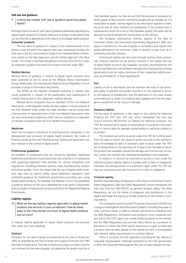#### **Soft law and guidance**

#### 9 | Is there any notable 'soft' law or guidance governing digital health?

Although there is a lack of 'soft' law or guidance addressed specifically to digital health products in Ireland, there are a number of documents that can be referred to depending on the nature of the digital health product. Consumer products

The key piece of guidance in respect of the implementation of EU product rules (of which the majority have been transposed directly into Irish law) is the EU Commission's Guide to the implementation of directives based on the New Approach and the Global Approach (the Blue Guide). The Guide to the Radio Equipment Directive 2014/53/EU is also an important guidance document for products that fall under RED.

#### Medical devices

Various pieces of guidance in relation to digital health products have been published at the EU level by the Medical Device Coordination Group. Additionally, the International Medical Device Regulators Forum provides a range of information documents.

The HPRA, as the relevant competent authority in Ireland, also issues guidelines in respect of the qualification and classification of medical devices and in vitro diagnostic medical devices.

Medical device companies that are members of the Irish Medtech Association, a self-regulatory body, are also subject to the provisions of the Irish Medtech Code. Under the Code, members can be issued with a formal letter of reprimand from of the Irish Medtech Association, who can also recommend suspension (with various conditions) or expulsion of member companies from the Irish Medtech Association.

#### Medicines

Given the increased involvement of pharmaceutical companies in the development and provision of digital health products, the Codes of Practice issued by the Irish Pharmaceutical Healthcare Association are also relevant in the context of digital health.

#### Professional guidelines

As members of professions that are statutorily regulated, registered healthcare practitioners must ensure that their practice is in compliance with governing legislation that provides for various obligations and regulations, including profession-specific codes of professional conduct and ethical guides. Given the impact that the use of digital health products may have on patient safety, some healthcare regulators have published guidance for healthcare practitioners providing care using digital health products. For example, the Medical Council has published a guide for doctors on the use of telemedicine to be used in conjunction with its Guide to Professional Conduct and Ethics for Registered Medical Practitioners.

#### **Liability regimes**

10 What are the key liability regimes applicable to digital health products and services in your jurisdiction? How do these apply to the cross-border provision of digital health products and services?

In Ireland, liability applicable to digital health products and services falls under four main headings.

#### Contract

Contracts for the sale of goods are governed by the Sale of Goods Act 1893, as amended by the Sale of Goods and Supply of Services Act 1980 (the Sale of Goods Acts). The Sale of Goods Acts imply a number of terms into contracts for the sale of goods, including that the goods must be of

'merchantable quality' (ie, they are as fit for the purpose or purposes for which goods of that kind are commonly bought and as durable as it is reasonable to expect, having regard to any description applied to them, the price and all other relevant circumstances). If the product sold is subsequently found not to be of merchantable quality, the seller will be deemed to have breached this implied term of the contract.

The European Communities (Certain Aspects of the Sale of Consumer Goods and Associated Guarantees) Regulations 2003 also apply to contracts for the sale of goods to consumers and require that goods delivered to the consumer under a contract of sale must be in conformity with that contract.

Contractual liability can also arise through various other contractual relations entered into by parties involved in the supply and use of digital health products (eg, hospitals, clinicians, pharmaceutical and device manufacturers and software manufacturers) and parties to those agreements must be highly conscious of their respective liability positions as provided for in those agreements.

#### Tort

Liability in tort is fault-based, and the common law duty of care principles apply. In general, the burden of proof is on the claimant to prove, on the balance of probabilities, that the defendant (in this case usually a manufacturer or seller of a product) was negligent and that this negligence caused him or her injury or damage.

#### Statutory liability

The key piece of legislation in this regard is the Liability for Defective Products Act 1991 (the 1991 Act), which transposed into Irish law Council Directive 85/374/EEC on liability for defective products. The 1991 Act imposes strict liability on the producer of a product in the event that it is found liable for damage caused wholly or partly by a defect in its product.

The limitation period for an action under the 1991 Act is three years from the date on which the cause of action accrued or the claimant's date of knowledge (if later). A claimant's right of action under the 1991 Act is extinguished on the expiration of 10 years from the date on which the product that allegedly caused the damage was first put into circulation, unless the claimant has instituted proceedings in the meantime.

In Ireland, it is common for claimants to pursue a claim under the statutory product liability regime in tandem with a claim of negligence; therefore, the extinguishment of a claimant's rights under the 1991 Act may not necessarily preclude the pursuit of a claim in negligence.

#### Criminal liability

Another important piece of legislation in this area is the General Product Safety Regulations 2004 (the 2004 Regulations), which transposed into Irish law Directive 2001/95/EC on general product safety. The 2004 Regulations set out the duties of producers and distributors in this regard and make the placing of unsafe products on the market a criminal offence.

The Competition and Consumer Protection Commission (CCPC) has a range of investigative and enforcement powers, including the power to order a product recall, in order to monitor and enforce compliance with the 2004 Regulations. Distributors and producers must cooperate with and inform the CCPC about any unsafe products placed on the market, and the 2004 Regulations also provide that a failure by a producer or distributor to inform the CCPC where they know or ought to know that a product that has been placed on the market by them is incompatible with relevant safety requirements is a criminal offence.

There is currently no Irish legislation providing for the offence of corporate manslaughter. Although published by the Irish government in 2016, the Corporate Manslaughter Bill has not been passed into law.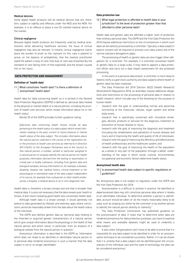#### Medical devices

Some digital health products will be medical devices that are, therefore, subject to liability and offences under the MDD and the MDR. For example, it is an offence to place a non-CE marked medical device on the market.

#### Clinical negligence

Because digital health products are frequently used by medical practitioners while delivering healthcare services, the issue of clinical negligence may also be relevant. In Ireland, clinical negligence claims place the burden of proof on the claimant (in this case a patient) to prove, on the balance of probabilities, that the medical practitioner owed the patient a duty of care; that duty of care was breached (by the standard of care falling short of that expected); and the breach caused him or her injury.

#### **DATA PROTECTION AND MANAGEMENT**

#### **Definition of `health data'**

11 | What constitutes 'health data'? Is there a definition of 'anonymised' health data?

Health data (or 'data concerning health' as it is termed in the General Data Protection Regulation (GDPR)) is defined as 'personal data related to the physical or mental health of a natural person, including the provision of health care services, which reveal information about his or her health status'.

Recital 35 of the GDPR provides further guidance noting:

*[p]ersonal data concerning health should include all data pertaining to the health status of a data subject which reveal information relating to the past, current or future physical or mental health status of the data subject. This includes information about the natural person collected in the course of the registration for, or the provision of, health care services as referred to in Directive 2011/24/EU of the European Parliament and of the Council to that natural person; a number, symbol or particular assigned to a natural person to uniquely identify the natural person for health purposes; information derived from the testing or examination of a body part or bodily substance, including from genetic data and biological samples; and any information on, for example, a disease, disability, disease risk, medical history, clinical treatment or the physiological or biomedical state of the data subject independent of its source, for example from a physician or other health professional, a hospital, a medical device or an in vitro diagnostic test.*

Health data is, therefore, a broad concept and one that is broader than medical data. It is also not necessary that the data reveals poor health or illness. A test result revealing good health also constitutes health data.

Although heath data is a broad concept, it would generally not extend to data generated by lifestyle and wellness apps where conclusions cannot be reasonably drawn from the data about the health status of the individual.

The GDPR also defines genetic data as 'personal data relating to the inherited or acquired genetic characteristics of a natural person which give unique information about the physiology or the health of that natural person and which result, in particular, from an analysis of a biological sample from the natural person in question.'

Anonymous information is described in the GDPR as 'information which does not relate to an identified or identifiable natural person or to personal data rendered anonymous in such a manner that the data subject is not or no longer identifiable'.

12 What legal protection is afforded to health data in your jurisdiction? Is the level of protection greater than that afforded to other personal data?

Health data and genetic data are afforded a higher level of protection than ordinary personal data. The GDPR and the Irish Data Protection Act 2018 impose additional restrictions on the circumstances in which such data can be lawfully processed by a controller. Typically, a data subject's explicit consent will be required to process such data unless one of the narrow statutory derogations apply.

The processing of health or genetic data can also trigger other obligations for a controller. For example, if a controller processes health or genetic data on a large scale, it may need to appoint a data protection officer and carry out a data impact assessment for any proposed processing.

In the event of a personal data breach, a controller is more likely to need to notify a supervisory authority and data subjects where health or genetic data has been impacted.

The Data Protection Act 2018 (Section 36(2)) (Health Research) (Amendment) Regulations 2018, as amended, impose additional obligations and restrictions on the processing of personal data in relation to health research, which includes any of the following for the purpose of human health:

- research with the goal of understanding normal and abnormal functioning at the molecular, cellular, organ system and whole body levels;
- research that is specifically concerned with innovative strategies, devices, products or services for the diagnosis, treatment or prevention of human disease or injury;
- research with the goal of improving the diagnosis and treatment (including the rehabilitation and palliation) of human disease and injury and of improving the health and quality of life of individuals;
- research with the goal of improving the efficiency and effectiveness of health professionals and the healthcare system; and
- research with the goal of improving the health of the population as a whole or any part of the population through a better understanding of the ways in which social, cultural, environmental, occupational and economic factors determine health status.

#### **Anonymised health data**

13 | Is anonymised health data subject to specific regulations or guidelines?

No. Anonymous data is not subject to regulation under the GDPR and the Irish Data Protection Act 2018.

Anonymisation is a difficult to achieve in practice. De-identified or depersonalised data may still constitute personal data where it relates to an identifiable individual. To determine whether a person is identifiable, account should be taken of 'all the means reasonably likely to be used, such as singling out, either by the controller or by another person to identify the natural person directly or indirectly'.

The Data Protection Commission has published guidance on the anonymisation of data. It notes that 'to determine when data are rendered anonymous for data protection purposes, you have to examine what means and available datasets might be used to reidentify a data subject.'

It also notes '[o]rganisations don't have to be able to prove that it is impossible for any data subject to be identified in order for an anonymisation technique to be considered successful. Rather, if it can be shown that it is unlikely that a data subject will be identified given the circumstances of the individual case and the state of technology, the data can be considered anonymous.'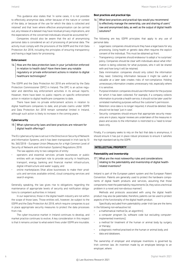to effectively anonymise data, either because of the nature or context of the data, or because of the use for which the data is collected and retained' and that 'even where effective anonymisation can be carried out, any release of a dataset may have residual privacy implications, and the expectations of the concerned individuals should be accounted for.'

Companies should also be aware that the act of anonymising personal data is considered an act of processing of personal data. The activity must comply with the provisions of the GDPR and the Irish Data Protection Act 2018, including the principles of ensuring transparency and having a legal basis for processing.

#### **Enforcement**

 $14$  How are the data protection laws in your jurisdiction enforced in relation to health data? Have there been any notable regulatory or private enforcement actions in relation to digital healthcare technologies?

The GDPR and the Data Protection Act 2018 are enforced by the Data Protection Commissioner (DPC) in Ireland. The DPC is an active regulator and identifies key enforcement activities in its annual reports. However, there have been no public reports on specific enforcement action in relation to digital healthcare companies to date.

There have been no private enforcement actions in relation to digital healthcare companies to date, and private claims under GDPR and Data Protection Act 2018 remain somewhat limited in Ireland, although such action is likely to increase in the coming years.

#### **Cybersecurity**

15 What cybersecurity laws and best practices are relevant for digital health offerings?

The EU cybersecurity law is set out in the Directive on Security of Network and Information Systems, and it has been transposed in Irish law by SI No. 360/2018 – European Union (Measures for a High Common Level of Security of Network and Information Systems) Regulations 2018.

The law applies only to two categories of entity:

- operators and essential services: private businesses or public entities with an important role to provide security in healthcare, transport, energy, banking and financial market infrastructure, digital infrastructure and water supply; and
- online marketplaces (that allow businesses to make their products and services available online), cloud computing services and search engines.

Generally speaking, the law gives rise to obligations regarding the maintenance of appropriate levels of security and notification obligations to competent authorities in Ireland.

In our experience, those in the digital health industry are not within the scope of those laws. Those entities will, however, be subject to the GDPR and the Data Protection Act 2018, which require companies to put in place appropriate security measures to protect the data processes from risk.

The cyber-insurance market in Ireland continues to develop, and market practice continues to evolve. A key consideration in this respect is that it remains unclear to what extent fines under GDPR are insurable.

#### **Best practices and practical tips**

16 What best practices and practical tips would you recommend to effectively manage the ownership, use and sharing of users' raw and anonymised data, as well as the output of digital health solutions?

The following are key GDPR principles that apply to any use of personal data.

- Legal basis: companies should ensure they have a legal basis for any processing. Using health or genetic data often requires the explicit consent of the individual. This must be obtained up front.
- Transparency: companies should endeavour to adopt a 'no surprises' policy. Companies should be clear with individuals about what information is being collected, for what purposes, who it will be shared with and how long it will be retained.
- Data minimisation: companies should only collect the information they need. Collecting information because it might be useful or valuable at a later date creates risks of non-compliance. Holding unnecessary information creates unnecessary risk, especially where it is sensitive.
- Purpose limitation: companies should use information for the purpose for which it has been collected. For example, if a company collects information to provide a health service, it should not be later used for unrelated marketing purposes without the customer's permission.
- Retention: once data is no longer required, it should be deleted. Data should not be kept 'just in case'.
- Security: companies should ensure that appropriate security measures are in place, regular reviews are undertaken of the measures in place and access to the information is restricted to a 'need to know' basis only.

Finally, if a company seeks to rely on the fact that data is anonymous, it should ensure it has put in place robust processes to ensure it satisfies the high standard set by the GDPR.

#### **INTELLECTUAL PROPERTY**

#### **Patentability and inventorship**

17 What are the most noteworthy rules and considerations relating to the patentability and inventorship of digital healthrelated inventions?

Ireland is part of the European patent system and the European Patent Convention. Patents are generally used to protect the hardware components of digital health products and services, assuming that those components meet the patentability requirements (ie, they solve a technical problem in a novel and non-obvious manner).

Methods and protocols associated with using the digital health product may also be patentable; therefore, patents can be used to protect aspects of the functionality of the digital health product.

Specifically excluded from patentability under Irish law are the items in the following non-exhaustive list:

- a mathematical method (ie, an algorithm);
- a computer program (ie, software code but excluding computerimplemented inventions);
- a method for treatment of the human or animal body by surgery or therapy;
- a diagnostic method practised on the human or animal body; and
- data and databases.

The ownership of employer and employee inventions is governed by Irish common law. An invention made by an employee belongs to an employer, where: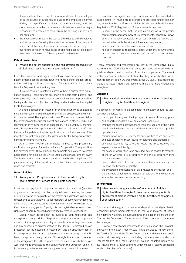- it was made in the course of the normal duties of the employee or in the course of duties falling outside the employee's normal duties, but specifically assigned to the employee, and the circumstances in either case were such that an invention might reasonably be expected to result from the carrying out of his or her duties; or
- the invention was made in the course of the duties of the employee and, at the time of making the invention, because of the nature of his or her duties and the particular responsibilities arising from the nature of his or her duties, he or she had a special obligation to further the interests of the employer's undertaking.

#### **Patent prosecution**

18 What is the patent application and registration procedure for digital health technologies in your jurisdiction?

From the inventors and digital technology owner's perspective, the patent process can be broken down into three distinct stages: preparation pre-filing, application and grant. Once granted, an Irish patent lasts for 20 years from the filing date.

It is also possible to obtain a patent without a substantive examination process. Those patents are known as short-term patents, and they generally have a lower requirement for inventive step, as well as having a shorter term of protection. They tend not to be used for digital heath technologies.

A single application in Ireland (or another country) is sometimes filed in the first instance so that the commercial prospects of the invention can be tested. The applicant will have 12 months to commercialise the invention and file further patent applications in other jurisdictions claiming priority from the Irish application. If filed within 12 months, the subsequently filed applications in other jurisdictions are afforded the same filing date as the Irish application as such disclosures of the invention are not held against the patentability of subsequent applications for the same invention.

Alternatively, inventors may decide to bypass the preliminary application stage and file either a Patent Cooperation Treaty application covering over 140 countries or file complete applications in certain jurisdictions, for example the United States and Canada, straight away. The latter is the more common route for established applicants for patents covering digital health technologies, given their international reach and market.

#### **Other IP rights**

#### 19  $\vert$  Are any other IP rights relevant in the context of digital health offerings? How are these rights secured?

In respect of copyright in the programs, code and databases (whether original or sui generis) used by the digital health devices, the owner of original works of copyright or the maker or a database will be the creator and, as such, it is vital to appropriately document arrangements with third-party contractors to allow for the transfer of ownership to the commissioning party. Copyright is not registrable in Ireland, and rights are generally secured and verified by refence to code files.

Digital health devices can be subject to both registered and unregistered design rights. Registered designs are used to protect aspects of the appearance of digital health devices (eg, the shape and any contours or ornamentation of the device). Registered design protection can be obtained in Ireland by filing an application for an Irish-registered design or a registered Community design at the EU level. Unregistered designs are an EU law right that arises on creation of the design and lasts three years from the date on which the design was first made available to the public within the European Union. It is necessary to demonstrate copying in order to prove infringement.

- is secret in the sense that it is not, as a body or in the precise configuration and assembly of its components, generally known among or readily accessible to persons within the circles that normally deal with the kind of information in question;
- has commercial value because it is secret; and
- has been subject to reasonable steps under the circumstances, by the person lawfully in control of the information, to keep it secret.

Finally, branding and trademarks are key in the competitive digital health market. Distinctive brand names and logos are used to distinguish a digital health product from its competitors. Trademark protection can be obtained in Ireland by filing an application for an Irish trademark or an EU trademark at the EU level. Applications for shape and colour marks are becoming more and more challenging to register.

#### **Licensing**

#### 20 What practical considerations are relevant when licensing IP rights in digital health technologies?

A licensor of IP rights in digital health technology should at least consider the following:

- the scope of the grant, having regard to global licensing plans and opportunities (excusive, sole or non-exclusive);
- whether the technology has more than one use and if the rights should be divided on the basis of those uses or fields to optimise opportunities;
- remuneration model (ie, license fee and royalties based on devices and also consider similar issues for software and platforms);
- efficiency planning (ie, where to locate the IP to develop and exploit it most efficiently);
- the scope of warranties to be provided, having regard to maturity of the IP, whether it is all propriety or a mix of propriety, third party and open source;
- how to deal with IP in improvements that are made by the licensor, the licensee or jointly;
- the ownership and licensing of data related to the device; and
- the strategic shaping of termination provisions to allow for exits where the licensee is underperforming.

#### **Enforcement**

21 What procedures govern the enforcement of IP rights in digital health technologies? Have there been any notable enforcement actions involving digital health technologies in your jurisdiction?

Enforcement strategy and procedures depend on the digital health technology rights being infringed. In the vast majority of cases, infringement will likely be pursued through an action before the High Court or the Commercial Court because of the nature and quantum of the damage.

However, recent amendments to Irish IP legislation (the Copyright and Other Intellectual Property Law Provisions Act 2019) now permit the District Court and the Circuit Court to hear and determine certain intellectual property claims, including certain claims under the Patents Act 1992, the Trade Marks Act 1996 and Industrial Designs Act 2001 (ie, claims of a lower quantum, which makes IP claims accessible to a broader class of claimants).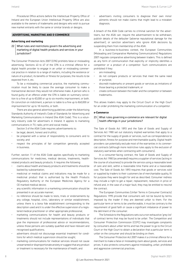Procedural Office actions before the Intellectual Property Office of Ireland and the European Union Intellectual Property Office are also available to the owners of trademarks and designs who wish to pursue new market entrants with the same or similar brands or designs.

#### **ADVERTISING, MARKETING AND E-COMMERCE**

#### **Advertising and marketing**

22 What rules and restrictions govern the advertising and marketing of digital health products and services in your jurisdiction?

The Consumer Protection Acts 2007 (CPA) prohibits false or misleading advertising. Sections 43 to 47 of the CPA is a criminal offence for a digital health provider to engage in an unfair or misleading commercial practice in relation to a range of matters, including the existence or nature of a product, its benefits or fitness for purposes, the results to be expected from it, etc.

To be a misleading commercial practice, the marketing communication must be likely to cause the average consumer to make a transactional decision they would not otherwise make. A person who is found guilty of an offence under the CPA is liable on summary conviction to a fine of up to €3,000 or up to six months imprisonment, or both. On conviction on indictment, a person is liable to a fine up to €60,000 or imprisonment for up to 18 months, or both.

There are also general advertising guidelines under the Advertising Standards Authority of Ireland's Code of Standards for Advertising and Marketing Communications in Ireland (the ASAI Code). This is a voluntary industry code for advertisers in Ireland. It applies to marketing communications in TV, radio, print and social media.

Section 3 of the ASAI Code requires advertisements to:

- be legal, decent, honest and truthful;
- be prepared with a sense of responsibility to consumers and to society; and
- respect the principles of fair competition generally accepted in business.

Further, section 11 of the ASAI Code applies specifically to marketing communications for medicines, medical devices, treatments, healthrelated products and beauty products. It requires the following:

- claims about health and beauty products and treatments should be backed by substantiation;
- medicinal or medical claims and indications may be made for a medicinal product that is authorised by the Health Products Regulatory Authority or the European Medicines Agency for a CE-marked medical device;
- any scientific information in a marketing communication should be presented in an accurate manner;
- no reference should be made to tests, trials or endorsements by any college, hospital, clinic, laboratory or similar establishment, unless there is a bona fide establishment corresponding to the description used and it is under the effective supervision of a registered medical practitioner or other appropriate professional;
- marketing communications for health and beauty products or treatments should not include representations of individuals that give the impression of professional advice or recommendations, unless those persons are suitably qualified and have relevant and recognised qualifications;
- advertisers should not discourage essential treatment for conditions for which medical supervision should be sought;
- marketing communications for medical services should not cause unwarranted or disproportionate anxiety or suggest that any product or treatment is necessary for the maintenance of health; and

advertisers inviting consumers to diagnose their own minor ailments should not make claims that might lead to a mistaken diagnosis.

A breach of the ASAI Code carries no criminal sanction for the advertisers, but the ASAI can: require the advertisement to be withdrawn; publish details of the defaulter (adverse reputational damage for the advertiser); or sanction advertisers who ignore ASAI decisions by suspending them from membership of the ASAI.

In a business-to-business context, the European Communities (Misleading and Comparative Marketing Communications) Regulations 2007 regulate comparative advertising between traders. This is defined as any form of communication that explicitly or implicitly identifies a competitor or a product of a competitor. Such communications are prohibited if they:

- are misleading;
- do not compare products or services that meet the same need or purpose;
- discredit trademarks or present goods or services as imitations of those bearing a protected trademark; or
- create confusion between the trader and the competitor or between trademarks.

This allows traders may apply to the Circuit Court or the High Court for an order prohibiting the marketing communication of a competitor.

#### **e-Commerce**

23 What rules governing e-commerce are relevant for digital health offerings in your jurisdictions?

The Sale of Goods Act 1893 and the Sale of Goods and Supply of Services Act 1980 set out statutory implied warranties that apply to a contract for the supply of goods or services, such as correspondence to description, fitness for purpose and merchantable quality. Digital health providers can potentially exclude most of the warranties in its commercial contracts (although more restrictive rules apply to the exclusion of statutory warranties when contracting with consumers).

In a consumer-facing contract, the Sale of Goods and Supply of Services Act 1980 (as amended) requires a supplier of services (acting in the course of a business) to provide the service using a reasonable level of care and skill, within a reasonable time frame and at a reasonable cost. The Sale of Goods Act 1893 requires that goods or services sold or supplied by traders to their customers be of merchantable quality, fit for purpose they were bought for and as described. Consumer redress may include a right to get a repair, replacement, reduction in price or refund and, in the case of a major fault, they may be entitled to rescind the contract.

The European Communities (Unfair Terms in Consumer Contracts) Regulations 1995 provide that consumers will not be bound by terms imposed by the trader if they are deemed unfair to them. For the particular term or terms to be unenforceable, it must be contrary to the requirement of good faith or cause a significant imbalance of power to the detriment of the consumer.

The Schedule to the Regulations sets out a non-exhaustive 'grey list' of contract terms that may be found to be unfair. The Competition and Consumer Protection Commission (CCPC) may investigate complaints by consumers about unfair terms and has the power to go to the Circuit Court or the High Court to obtain a declaration that a particular term is unfair on the consumer and should be binding on them.

The Consumer Protection Act 2007 makes it a criminal offence for a merchant to make a false or misleading claim about goods, services and prices. It also protects consumers against misleading, unfair, prohibited and aggressive commercial practices.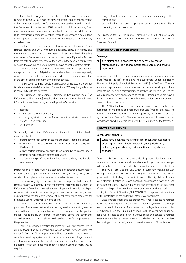If merchants engage in those practices and their customers make a complaint to the CCPC, it has the power to issue fines or imprisonment, or both. A range of serious enforcement actions can be taken in line with the Consumer Protection Act 2007, including prohibition orders, fixed payment notices and requiring the merchant to give an undertaking. The CCPC may issue a compliance notice where the merchant is committing or engaging in a prohibited act or practice and require them to comply with directions.

The European Union (Consumer Information, Cancellation and Other Rights) Regulations 2013 introduced additional consumer rights, and there are also pre-contractual information obligations with which traders must comply. Consumers are provided with a cooling-off period of 14 days from the date on which they receive the goods. In the case of a contract for services, the cooling-off period expires 14 days after the contract starts.

There are some statutory exceptions when cooling-off periods will not apply in the context of digital products where the consumers expressly waive their cooling-off rights and acknowledge that they understand this at the time of commencement of the digital service.

The European Communities (Certain Aspects of the Sale of Consumer Goods and Associated Guarantees) Regulations 2003 require goods to be in conformity with the contract.

The European Communities E-Commerce Regulations 2003 (the E-Commerce Regulations) require that in e-commerce, the following information must be on a digital health provider's website:

- name;
- address;
- contact details (email address);
- company registration number (or equivalent registration number in relevant jurisdiction); and
- VAT number.

To comply with the E-Commerce Regulations, digital health providers should:

- ensure commercial communications are clearly identified as such;
- ensure any unsolicited commercial communications are clearly identified as such;
- supply certain information prior to an order being placed and a contract being concluded electronically; and
- provide a receipt of the order without undue delay and by electronic means.

Digital health providers must have standard e-commerce documentation in place, such as applicable terms and conditions, a privacy policy and a cookie policy in place for the cookies dropped on its website.

The upcoming Digital Services Act will be implemented as an EU Regulation and will largely uphold the current liability regime under the E-Commerce Directive. It contains new obligations in relation to digital services that connect consumers to goods, services and content, as well as new procedures for faster removal of illegal content and measures for protecting users' fundamental rights online.

There are specific measures set out for intermediary service providers of a mere conduit service, a caching service or a hosting service. There will also be reporting obligations for removing and disabling information that is illegal or contrary to providers' terms and conditions, as well as mechanisms to allow third parties to notify the presence of illegal content.

There is a specific exception for micro or small enterprises, which employ fewer than 50 persons and whose annual turnover does not exceed €10 million. All other platforms will be required to have an internal complaint-handling system and to make decisions about illegal content or information violating the provider's terms and conditions. Very large platforms, which are those that reach 45 million users or more, will be required to:

- carry out risk assessments on the use and functioning of their services; and
- put mitigating measures in place to protect users from illegal content, goods and services.

The Proposed text for the Digital Services Act is still at draft stage and has yet to be discussed with the European Parliament and the European Council.

#### **PAYMENT AND REIMBURSEMENT**

#### **Coverage**

24 Are digital health products and services covered or reimbursed by the national healthcare system and private insurers?

In Ireland, the HSE has statutory responsibility for medicine and nondrug (medical device) pricing and reimbursement under the Health (Pricing and Supply of Medical Goods) Act 2013 (the 2013 Act). There is a standard application procedure (other than for cancer drugs) to have products included on a reimbursement list through which suppliers can make reimbursement applications to the HSE. Ireland does not have a distinct approval procedure for reimbursements for rare disease medicines or hi-tech products.

The 2013 Act outlines the criteria for decisions regarding the reimbursement of medicines and non-drug products (medical devices). The decisions made by the HSE are made objectively, and they are advised by the National Centre for Pharmacoeconomics, which makes recommendations on which medicines are to be reimbursed by the taxpayer.

#### **UPDATES AND TRENDS**

#### **Recent developments**

25 What have been the most significant recent developments affecting the digital health sector in your jurisdiction, including any notable regulatory actions or legislative changes?

Other jurisdictions have witnessed a rise in product liability claims in relation to fitness trackers and wearables. Although this trend has yet to be seen before the Irish courts, this may not remain the case for long.

The Multi-Party Actions Bill, which is currently making its way through Irish parliament, will (if enacted) legislate for multi-plaintiff or group actions, including in respect of product liability claims. To date, multi-plaintiff litigation in Ireland generally progresses by way of a lead or pathfinder case. However, plans for the introduction of this piece of national legislation may have been overtaken by the adoption and coming into force of Directive (EU) 2020/1828 on representative actions for the protection of the collective interests of consumers.

Once implemented, this legislation will enable collective redress actions to be brought on behalf of Irish consumers, which is a development that could have a profound effect on the legal landscape in this jurisdiction, given that qualified entities, such as consumer organisations, will be able to seek both injunctive relief and collective redress measures on either a preventative or prohibitive basis against traders that infringe consumers rights across a wide range of EU legislation.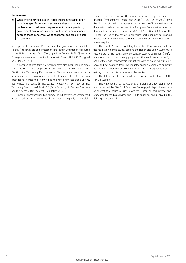#### **Coronavirus**

26 What emergency legislation, relief programmes and other initiatives specific to your practice area has your state implemented to address the pandemic? Have any existing government programs, laws or regulations been amended to address these concerns? What best practices are advisable for clients?

In response to the covid-19 pandemic, the government enacted the Health (Preservation and Protection and other Emergency Measures in the Public Interest) Act 2020 (signed on 20 March 2020) and the Emergency Measures in the Public Interest (Covid-19) Act 2020 (signed on 27 March 2020).

A number of statutory instruments have also been enacted since March 2020 to make temporary amendments to the Health Act 1947 (Section 31A Temporary Requirements). This includes measures such as mandatory face coverings on public transport. In 2021 this was extended to include the following as relevant premises: credit unions, post offices and banks (SI No. 20/2021 Health Act 1947 (Section 31A Temporary Restrictions) (Covid-19) (Face Coverings in Certain Premises and Businesses) (Amendment) Regulations 2021).

Specific to product liability, a number of initiatives were commenced to get products and devices to the market as urgently as possible. For example, the European Communities (In Vitro diagnostic medical devices) (amendment) Regulations 2020 (SI No. 145 of 2020) gave the Minister of Health the power to authorise non-CE marked in vitro diagnostic medical devices and the European Communities (medical devices) (amendment) Regulations 2020 (SI No. 144 of 2020) gave the Minister of Health the power to authorise particular non-CE marked medical devices so that those could be urgently used on the Irish market where required.

The Health Products Regulatory Authority (HPRA) is responsible for the regulation of medical devices and the Health and Safety Authority is responsible for the regulation of personal protective equipment (PPE). If a manufacturer wishes to supply a product that could assist in the fight against the covid-19 pandemic, it must consider relevant industry guidance and notifications from the industry-specific competent authority as there are a number of guidance documents and expedited ways of getting those products or devices to the market.

The latest updates on covid-19 guidance can be found of the HPRA's website.

The National Standards Authority of Ireland and SAI Global have also developed the COVID-19 Response Package, which provides access at no cost to a series of Irish, American, European and International standards for medical devices and PPE to organisations involved in the fight against covid-19.